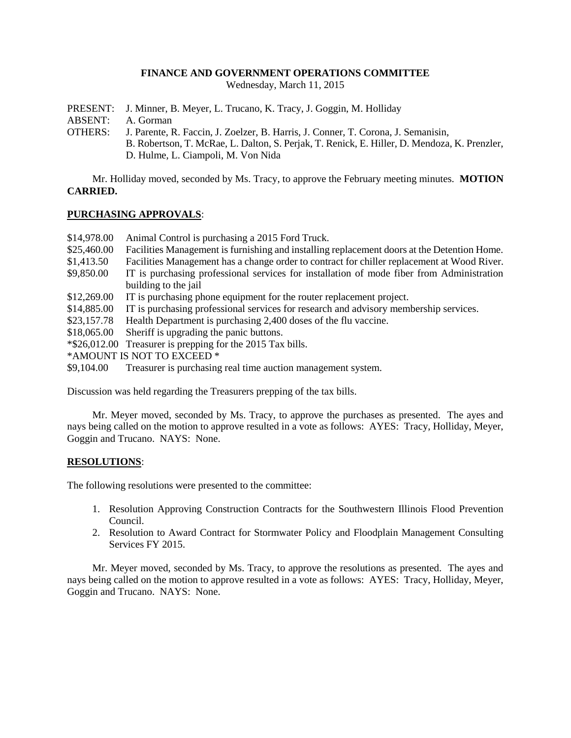## **FINANCE AND GOVERNMENT OPERATIONS COMMITTEE**

Wednesday, March 11, 2015

PRESENT: J. Minner, B. Meyer, L. Trucano, K. Tracy, J. Goggin, M. Holliday

ABSENT: A. Gorman

OTHERS: J. Parente, R. Faccin, J. Zoelzer, B. Harris, J. Conner, T. Corona, J. Semanisin, B. Robertson, T. McRae, L. Dalton, S. Perjak, T. Renick, E. Hiller, D. Mendoza, K. Prenzler, D. Hulme, L. Ciampoli, M. Von Nida

Mr. Holliday moved, seconded by Ms. Tracy, to approve the February meeting minutes. **MOTION CARRIED.**

# **PURCHASING APPROVALS**:

- \$14,978.00 Animal Control is purchasing a 2015 Ford Truck.
- \$25,460.00 Facilities Management is furnishing and installing replacement doors at the Detention Home.
- \$1,413.50 Facilities Management has a change order to contract for chiller replacement at Wood River.
- \$9,850.00 IT is purchasing professional services for installation of mode fiber from Administration building to the jail
- \$12,269.00 IT is purchasing phone equipment for the router replacement project.
- \$14,885.00 IT is purchasing professional services for research and advisory membership services.
- \$23,157.78 Health Department is purchasing 2,400 doses of the flu vaccine.
- \$18,065.00 Sheriff is upgrading the panic buttons.
- \*\$26,012.00 Treasurer is prepping for the 2015 Tax bills.
- \*AMOUNT IS NOT TO EXCEED \*
- \$9,104.00 Treasurer is purchasing real time auction management system.

Discussion was held regarding the Treasurers prepping of the tax bills.

Mr. Meyer moved, seconded by Ms. Tracy, to approve the purchases as presented. The ayes and nays being called on the motion to approve resulted in a vote as follows: AYES: Tracy, Holliday, Meyer, Goggin and Trucano. NAYS: None.

# **RESOLUTIONS**:

The following resolutions were presented to the committee:

- 1. Resolution Approving Construction Contracts for the Southwestern Illinois Flood Prevention Council.
- 2. Resolution to Award Contract for Stormwater Policy and Floodplain Management Consulting Services FY 2015.

Mr. Meyer moved, seconded by Ms. Tracy, to approve the resolutions as presented. The ayes and nays being called on the motion to approve resulted in a vote as follows: AYES: Tracy, Holliday, Meyer, Goggin and Trucano. NAYS: None.